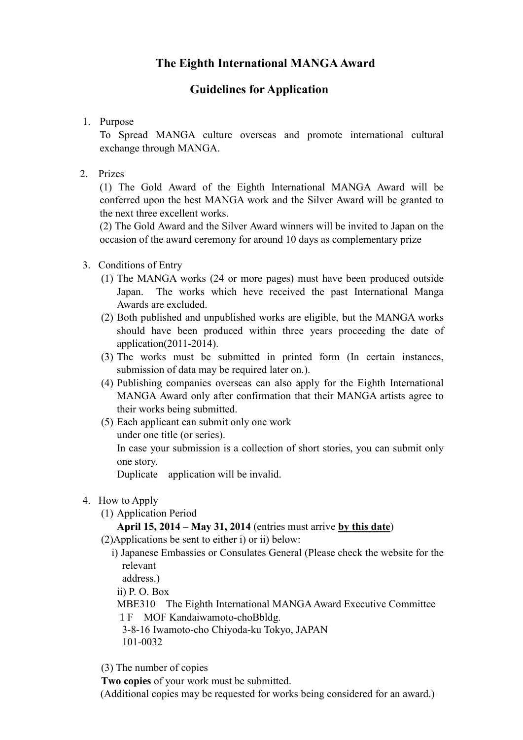# **The Eighth International MANGAAward**

## **Guidelines for Application**

1. Purpose

To Spread MANGA culture overseas and promote international cultural exchange through MANGA.

2. Prizes

(1) The Gold Award of the Eighth International MANGA Award will be conferred upon the best MANGA work and the Silver Award will be granted to the next three excellent works.

(2) The Gold Award and the Silver Award winners will be invited to Japan on the occasion of the award ceremony for around 10 days as complementary prize

## 3. Conditions of Entry

- (1) The MANGA works (24 or more pages) must have been produced outside Japan. The works which heve received the past International Manga Awards are excluded.
- (2) Both published and unpublished works are eligible, but the MANGA works should have been produced within three years proceeding the date of application(2011-2014).
- (3) The works must be submitted in printed form (In certain instances, submission of data may be required later on.).
- (4) Publishing companies overseas can also apply for the Eighth International MANGA Award only after confirmation that their MANGA artists agree to their works being submitted.
- (5) Each applicant can submit only one work under one title (or series).

In case your submission is a collection of short stories, you can submit only one story.

Duplicate application will be invalid.

- 4. How to Apply
	- (1) Application Period

## **April 15, 2014 – May 31, 2014** (entries must arrive **by this date**)

- (2)Applications be sent to either i) or ii) below:
	- i) Japanese Embassies or Consulates General (Please check the website for the relevant

address.)

ii) P. O. Box

- MBE310 The Eighth International MANGA Award Executive Committee 1F MOF Kandaiwamoto-choBbldg.
- 3-8-16 Iwamoto-cho Chiyoda-ku Tokyo, JAPAN 101-0032
- (3) The number of copies

**Two copies** of your work must be submitted.

(Additional copies may be requested for works being considered for an award.)